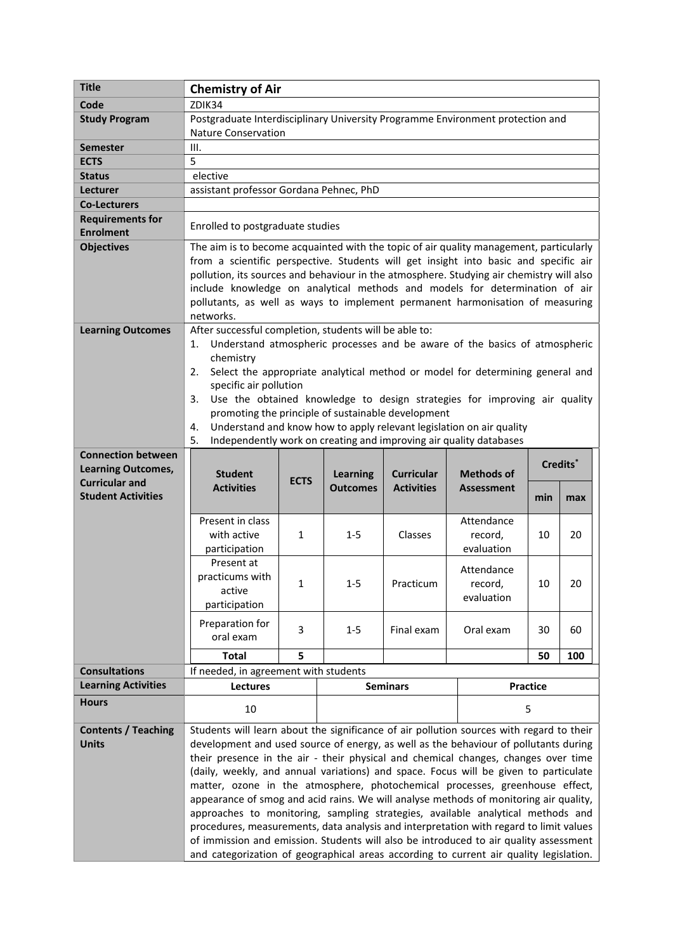| <b>Title</b>               | <b>Chemistry of Air</b>                                                                             |             |                 |                   |                                                                      |     |     |  |
|----------------------------|-----------------------------------------------------------------------------------------------------|-------------|-----------------|-------------------|----------------------------------------------------------------------|-----|-----|--|
| Code                       | ZDIK34                                                                                              |             |                 |                   |                                                                      |     |     |  |
| <b>Study Program</b>       | Postgraduate Interdisciplinary University Programme Environment protection and                      |             |                 |                   |                                                                      |     |     |  |
|                            | <b>Nature Conservation</b>                                                                          |             |                 |                   |                                                                      |     |     |  |
| Semester                   | III.                                                                                                |             |                 |                   |                                                                      |     |     |  |
| <b>ECTS</b>                | 5                                                                                                   |             |                 |                   |                                                                      |     |     |  |
| <b>Status</b>              | elective                                                                                            |             |                 |                   |                                                                      |     |     |  |
| Lecturer                   | assistant professor Gordana Pehnec, PhD                                                             |             |                 |                   |                                                                      |     |     |  |
| <b>Co-Lecturers</b>        |                                                                                                     |             |                 |                   |                                                                      |     |     |  |
| <b>Requirements for</b>    |                                                                                                     |             |                 |                   |                                                                      |     |     |  |
| <b>Enrolment</b>           | Enrolled to postgraduate studies                                                                    |             |                 |                   |                                                                      |     |     |  |
| <b>Objectives</b>          | The aim is to become acquainted with the topic of air quality management, particularly              |             |                 |                   |                                                                      |     |     |  |
|                            | from a scientific perspective. Students will get insight into basic and specific air                |             |                 |                   |                                                                      |     |     |  |
|                            | pollution, its sources and behaviour in the atmosphere. Studying air chemistry will also            |             |                 |                   |                                                                      |     |     |  |
|                            | include knowledge on analytical methods and models for determination of air                         |             |                 |                   |                                                                      |     |     |  |
|                            | pollutants, as well as ways to implement permanent harmonisation of measuring                       |             |                 |                   |                                                                      |     |     |  |
|                            | networks.                                                                                           |             |                 |                   |                                                                      |     |     |  |
| <b>Learning Outcomes</b>   | After successful completion, students will be able to:                                              |             |                 |                   |                                                                      |     |     |  |
|                            | Understand atmospheric processes and be aware of the basics of atmospheric<br>1.                    |             |                 |                   |                                                                      |     |     |  |
|                            | chemistry                                                                                           |             |                 |                   |                                                                      |     |     |  |
|                            | Select the appropriate analytical method or model for determining general and<br>2.                 |             |                 |                   |                                                                      |     |     |  |
|                            | specific air pollution                                                                              |             |                 |                   |                                                                      |     |     |  |
|                            | Use the obtained knowledge to design strategies for improving air quality<br>3.                     |             |                 |                   |                                                                      |     |     |  |
|                            | promoting the principle of sustainable development                                                  |             |                 |                   |                                                                      |     |     |  |
|                            | 4.                                                                                                  |             |                 |                   | Understand and know how to apply relevant legislation on air quality |     |     |  |
|                            | 5.                                                                                                  |             |                 |                   | Independently work on creating and improving air quality databases   |     |     |  |
| <b>Connection between</b>  |                                                                                                     |             |                 |                   |                                                                      |     |     |  |
| <b>Learning Outcomes,</b>  | Credits <sup>*</sup><br><b>Student</b><br><b>Learning</b><br><b>Curricular</b><br><b>Methods of</b> |             |                 |                   |                                                                      |     |     |  |
| <b>Curricular and</b>      | <b>Activities</b>                                                                                   | <b>ECTS</b> | <b>Outcomes</b> | <b>Activities</b> | <b>Assessment</b>                                                    |     |     |  |
| <b>Student Activities</b>  |                                                                                                     |             |                 |                   |                                                                      | min | max |  |
|                            |                                                                                                     |             |                 |                   |                                                                      |     |     |  |
|                            | Present in class                                                                                    |             |                 |                   | Attendance                                                           |     |     |  |
|                            | with active                                                                                         | 1           | $1 - 5$         | Classes           | record,                                                              | 10  | 20  |  |
|                            | participation                                                                                       |             |                 |                   | evaluation                                                           |     |     |  |
|                            | Present at                                                                                          |             |                 |                   | Attendance                                                           |     |     |  |
|                            | practicums with                                                                                     | 1           | $1 - 5$         | Practicum         | record,                                                              | 10  | 20  |  |
|                            | active                                                                                              |             |                 |                   | evaluation                                                           |     |     |  |
|                            | participation                                                                                       |             |                 |                   |                                                                      |     |     |  |
|                            | Preparation for                                                                                     | 3           | $1 - 5$         | Final exam        | Oral exam                                                            | 30  | 60  |  |
|                            | oral exam                                                                                           |             |                 |                   |                                                                      |     |     |  |
|                            | <b>Total</b>                                                                                        | 5           |                 |                   |                                                                      | 50  | 100 |  |
| <b>Consultations</b>       | If needed, in agreement with students                                                               |             |                 |                   |                                                                      |     |     |  |
| <b>Learning Activities</b> | Lectures                                                                                            |             |                 | <b>Seminars</b>   | Practice                                                             |     |     |  |
| <b>Hours</b>               |                                                                                                     |             |                 |                   |                                                                      |     |     |  |
|                            | 10                                                                                                  |             |                 |                   | 5                                                                    |     |     |  |
| <b>Contents / Teaching</b> | Students will learn about the significance of air pollution sources with regard to their            |             |                 |                   |                                                                      |     |     |  |
| <b>Units</b>               | development and used source of energy, as well as the behaviour of pollutants during                |             |                 |                   |                                                                      |     |     |  |
|                            | their presence in the air - their physical and chemical changes, changes over time                  |             |                 |                   |                                                                      |     |     |  |
|                            | (daily, weekly, and annual variations) and space. Focus will be given to particulate                |             |                 |                   |                                                                      |     |     |  |
|                            | matter, ozone in the atmosphere, photochemical processes, greenhouse effect,                        |             |                 |                   |                                                                      |     |     |  |
|                            | appearance of smog and acid rains. We will analyse methods of monitoring air quality,               |             |                 |                   |                                                                      |     |     |  |
|                            | approaches to monitoring, sampling strategies, available analytical methods and                     |             |                 |                   |                                                                      |     |     |  |
|                            | procedures, measurements, data analysis and interpretation with regard to limit values              |             |                 |                   |                                                                      |     |     |  |
|                            | of immission and emission. Students will also be introduced to air quality assessment               |             |                 |                   |                                                                      |     |     |  |
|                            | and categorization of geographical areas according to current air quality legislation.              |             |                 |                   |                                                                      |     |     |  |